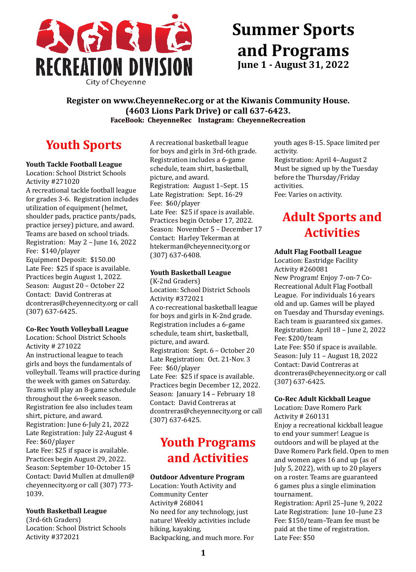

# **Summer Sports and Programs**

**June 1 - August 31, 2022**

### **Register on www.CheyenneRec.org or at the Kiwanis Community House. (4603 Lions Park Drive) or call 637-6423. FaceBook: CheyenneRec Instagram: CheyenneRecreation**

# **Youth Sports**

**Youth Tackle Football League**  Location: School District Schools Activity #271020 A recreational tackle football league for grades 3-6. Registration includes utilization of equipment (helmet, shoulder pads, practice pants/pads, practice jersey) picture, and award. Teams are based on school triads. Registration: May 2 – June 16, 2022 Fee: \$140/player Equipment Deposit: \$150.00 Late Fee: \$25 if space is available. Practices begin August 1, 2022. Season: August 20 – October 22 Contact: David Contreras at dcontreras@cheyennecity.org or call (307) 637-6425.

### **Co-Rec Youth Volleyball League**

Location: School District Schools Activity # 271022 An instructional league to teach girls and boys the fundamentals of volleyball. Teams will practice during the week with games on Saturday. Teams will play an 8-game schedule throughout the 6-week season. Registration fee also includes team shirt, picture, and award. Registration: June 6-July 21, 2022 Late Registration: July 22-August 4 Fee: \$60/player Late Fee: \$25 if space is available. Practices begin August 29, 2022. Season: September 10-October 15 Contact: David Mullen at dmullen@ cheyennecity.org or call (307) 773- 1039.

#### **Youth Basketball League**

(3rd-6th Graders) Location: School District Schools Activity #372021

A recreational basketball league for boys and girls in 3rd-6th grade. Registration includes a 6-game schedule, team shirt, basketball, picture, and award. Registration: August 1–Sept. 15 Late Registration: Sept. 16-29 Fee: \$60/player Late Fee: \$25 if space is available. Practices begin October 17, 2022. Season: November 5 – December 17 Contact: Harley Tekerman at htekerman@cheyennecity.org or (307) 637-6408.

### **Youth Basketball League**

(K-2nd Graders) Location: School District Schools Activity #372021 A co-recreational basketball league for boys and girls in K-2nd grade. Registration includes a 6-game schedule, team shirt, basketball, picture, and award. Registration: Sept. 6 – October 20 Late Registration: Oct. 21-Nov. 3 Fee: \$60/player Late Fee: \$25 if space is available. Practices begin December 12, 2022. Season: January 14 – February 18 Contact: David Contreras at dcontreras@cheyennecity.org or call (307) 637-6425.

### **Youth Programs and Activities**

### **Outdoor Adventure Program**

Location: Youth Activity and Community Center Activity# 268041 No need for any technology, just nature! Weekly activities include hiking, kayaking, Backpacking, and much more. For youth ages 8-15. Space limited per activity. Registration: April 4–August 2 Must be signed up by the Tuesday before the Thursday/Friday activities. Fee: Varies on activity.

# **Adult Sports and Activities**

### **Adult Flag Football League**

Location: Eastridge Facility Activity #260081 New Program! Enjoy 7-on-7 Co-Recreational Adult Flag Football League. For individuals 16 years old and up. Games will be played on Tuesday and Thursday evenings. Each team is guaranteed six games. Registration: April 18 – June 2, 2022 Fee: \$200/team Late Fee: \$50 if space is available. Season: July 11 – August 18, 2022 Contact: David Contreras at dcontreras@cheyennecity.org or call (307) 637-6425.

### **Co-Rec Adult Kickball League**

Location: Dave Romero Park Activity # 260131 Enjoy a recreational kickball league to end your summer! League is outdoors and will be played at the Dave Romero Park field. Open to men and women ages 16 and up (as of July 5, 2022), with up to 20 players on a roster. Teams are guaranteed 6 games plus a single elimination tournament.

Registration: April 25–June 9, 2022 Late Registration: June 10–June 23 Fee: \$150/team–Team fee must be paid at the time of registration. Late Fee: \$50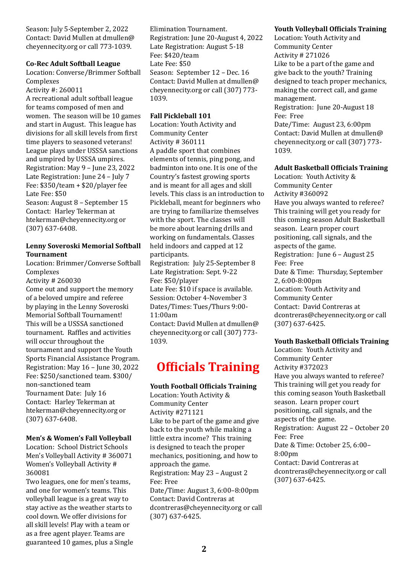Season: July 5-September 2, 2022 Contact: David Mullen at dmullen@ cheyennecity.org or call 773-1039.

### **Co-Rec Adult Softball League**

Location: Converse/Brimmer Softball Complexes

Activity #: 260011

A recreational adult softball league for teams composed of men and women. The season will be 10 games and start in August. This league has divisions for all skill levels from first time players to seasoned veterans! League plays under USSSA sanctions and umpired by USSSA umpires. Registration: May 9 – June 23, 2022 Late Registration: June 24 – July 7 Fee: \$350/team + \$20/player fee Late Fee: \$50

Season: August 8 – September 15 Contact: Harley Tekerman at htekerman@cheyennecity.org or (307) 637-6408.

### **Lenny Soveroski Memorial Softball Tournament**

Location: Brimmer/Converse Softball Complexes Activity # 260030 Come out and support the memory of a beloved umpire and referee by playing in the Lenny Soveroski Memorial Softball Tournament! This will be a USSSA sanctioned tournament. Raffles and activities will occur throughout the tournament and support the Youth Sports Financial Assistance Program. Registration: May 16 – June 30, 2022 Fee: \$250/sanctioned team. \$300/ non-sanctioned team Tournament Date: July 16 Contact: Harley Tekerman at htekerman@cheyennecity.org or (307) 637-6408.

### **Men's & Women's Fall Volleyball**

Location: School District Schools Men's Volleyball Activity # 360071 Women's Volleyball Activity # 360081

Two leagues, one for men's teams, and one for women's teams. This volleyball league is a great way to stay active as the weather starts to cool down. We offer divisions for all skill levels! Play with a team or as a free agent player. Teams are guaranteed 10 games, plus a Single Elimination Tournament. Registration: June 20-August 4, 2022 Late Registration: August 5-18 Fee: \$420/team Late Fee: \$50 Season: September 12 – Dec. 16 Contact: David Mullen at dmullen@ cheyennecity.org or call (307) 773- 1039.

### **Fall Pickleball 101**

Location: Youth Activity and Community Center Activity # 360111 A paddle sport that combines elements of tennis, ping pong, and badminton into one. It is one of the Country's fastest growing sports and is meant for all ages and skill levels. This class is an introduction to Pickleball, meant for beginners who are trying to familiarize themselves with the sport. The classes will be more about learning drills and working on fundamentals. Classes held indoors and capped at 12 participants. Registration: July 25-September 8 Late Registration: Sept. 9-22 Fee: \$50/player Late Fee: \$10 if space is available.

Session: October 4-November 3 Dates/Times: Tues/Thurs 9:00- 11:00am Contact: David Mullen at dmullen@

cheyennecity.org or call (307) 773- 1039.

### **Officials Training**

**Youth Football Officials Training**

Location: Youth Activity & Community Center Activity #271121 Like to be part of the game and give back to the youth while making a little extra income? This training is designed to teach the proper mechanics, positioning, and how to approach the game. Registration: May 23 – August 2 Fee: Free Date/Time: August 3, 6:00–8:00pm Contact: David Contreras at dcontreras@cheyennecity.org or call (307) 637-6425.

### **Youth Volleyball Officials Training**

Location: Youth Activity and Community Center Activity # 271026 Like to be a part of the game and give back to the youth? Training designed to teach proper mechanics, making the correct call, and game management. Registration: June 20-August 18 Fee: Free Date/Time: August 23, 6:00pm Contact: David Mullen at dmullen@

cheyennecity.org or call (307) 773- 1039.

### **Adult Basketball Officials Training**

Location: Youth Activity & Community Center Activity #360092 Have you always wanted to referee? This training will get you ready for this coming season Adult Basketball season. Learn proper court positioning, call signals, and the aspects of the game. Registration: June 6 – August 25 Fee: Free Date & Time: Thursday, September 2, 6:00-8:00pm Location: Youth Activity and Community Center Contact: David Contreras at dcontreras@cheyennecity.org or call (307) 637-6425.

### **Youth Basketball Officials Training**

Location: Youth Activity and Community Center Activity #372023 Have you always wanted to referee? This training will get you ready for this coming season Youth Basketball season. Learn proper court positioning, call signals, and the aspects of the game. Registration: August 22 – October 20 Fee: Free Date & Time: October 25, 6:00– 8:00pm Contact: David Contreras at dcontreras@cheyennecity.org or call (307) 637-6425.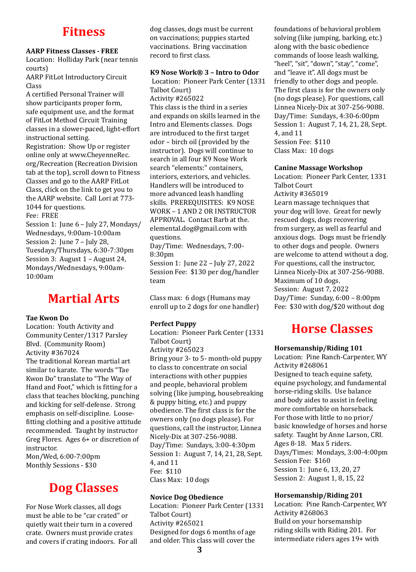### **Fitness**

### **AARP Fitness Classes - FREE**

Location: Holliday Park (near tennis courts)

AARP FitLot Introductory Circuit Class

A certified Personal Trainer will show participants proper form, safe equipment use, and the format of FitLot Method Circuit Training classes in a slower-paced, light-effort instructional setting. Registration: Show Up or register online only at www.CheyenneRec. org/Recreation (Recreation Division tab at the top), scroll down to Fitness Classes and go to the AARP FitLot Class, click on the link to get you to the AARP website. Call Lori at 773- 1044 for questions.

Fee: FREE

Session 1: June 6 – July 27, Mondays/ Wednesdays, 9:00am-10:00am Session 2: June 7 - July 28, Tuesdays/Thursdays, 6:30-7:30pm Session 3: August 1 – August 24, Mondays/Wednesdays, 9:00am-10:00am

### **Martial Arts**

#### **Tae Kwon Do**

Location: Youth Activity and Community Center/1317 Parsley Blvd. (Community Room) Activity #367024 The traditional Korean martial art similar to karate. The words "Tae Kwon Do" translate to "The Way of Hand and Foot," which is fitting for a class that teaches blocking, punching and kicking for self-defense. Strong emphasis on self-discipline. Loosefitting clothing and a positive attitude recommended. Taught by instructor Greg Flores. Ages 6+ or discretion of instructor. Mon/Wed, 6:00-7:00pm Monthly Sessions - \$30

**Dog Classes**

For Nose Work classes, all dogs must be able to be "car crated" or quietly wait their turn in a covered crate. Owners must provide crates and covers if crating indoors. For all dog classes, dogs must be current on vaccinations; puppies started vaccinations. Bring vaccination record to first class.

### **K9 Nose Work® 3 – Intro to Odor**

Location: Pioneer Park Center (1331 Talbot Court) Activity #265022 This class is the third in a series and expands on skills learned in the Intro and Elements classes. Dogs are introduced to the first target odor – birch oil (provided by the instructor). Dogs will continue to search in all four K9 Nose Work search "elements:" containers, interiors, exteriors, and vehicles. Handlers will be introduced to more advanced leash handling skills. PREREQUISITES: K9 NOSE WORK – 1 AND 2 OR INSTRUCTOR APPROVAL. Contact Barb at the. elemental.dog@gmail.com with questions.

Day/Time: Wednesdays, 7:00- 8:30pm

Session 1: June 22 – July 27, 2022 Session Fee: \$130 per dog/handler team

Class max: 6 dogs (Humans may enroll up to 2 dogs for one handler)

### **Perfect Puppy**

Location: Pioneer Park Center (1331 Talbot Court) Activity #265023 Bring your 3- to 5- month-old puppy to class to concentrate on social interactions with other puppies and people, behavioral problem solving (like jumping, housebreaking & puppy biting, etc.) and puppy obedience. The first class is for the owners only (no dogs please). For questions, call the instructor, Linnea Nicely-Dix at 307-256-9088. Day/Time: Sundays, 3:00-4:30pm Session 1: August 7, 14, 21, 28, Sept. 4, and 11 Fee: \$110 Class Max: 10 dogs

### **Novice Dog Obedience**

Location: Pioneer Park Center (1331 Talbot Court) Activity #265021 Designed for dogs 6 months of age and older. This class will cover the

foundations of behavioral problem solving (like jumping, barking, etc.) along with the basic obedience commands of loose leash walking, "heel", "sit", "down", "stay", "come", and "leave it". All dogs must be friendly to other dogs and people. The first class is for the owners only (no dogs please). For questions, call Linnea Nicely-Dix at 307-256-9088. Day/Time: Sundays, 4:30-6:00pm Session 1: August 7, 14, 21, 28, Sept. 4, and 11 Session Fee: \$110 Class Max: 10 dogs

#### **Canine Massage Workshop**

Location: Pioneer Park Center, 1331 Talbot Court Activity #365019 Learn massage techniques that your dog will love. Great for newly rescued dogs, dogs recovering from surgery, as well as fearful and anxious dogs. Dogs must be friendly to other dogs and people. Owners are welcome to attend without a dog. For questions, call the instructor, Linnea Nicely-Dix at 307-256-9088. Maximum of 10 dogs. Session: August 7, 2022 Day/Time: Sunday, 6:00 – 8:00pm Fee: \$30 with dog/\$20 without dog

### **Horse Classes**

### **Horsemanship/Riding 101**

Location: Pine Ranch-Carpenter, WY Activity #268061 Designed to teach equine safety, equine psychology, and fundamental horse-riding skills. Use balance and body aides to assist in feeling more comfortable on horseback. For those with little to no prior/ basic knowledge of horses and horse safety. Taught by Anne Larson, CRI. Ages 8-18. Max 5 riders. Days/Times: Mondays, 3:00-4:00pm Session Fee: \$160 Session 1: June 6, 13, 20, 27 Session 2: August 1, 8, 15, 22

### **Horsemanship/Riding 201**

Location: Pine Ranch-Carpenter, WY Activity #268063 Build on your horsemanship riding skills with Riding 201. For intermediate riders ages 19+ with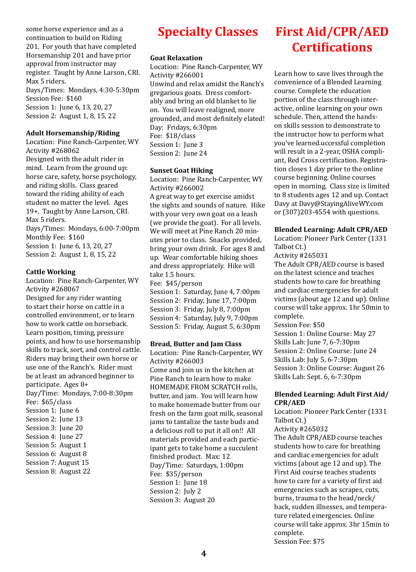some horse experience and as a continuation to build on Riding 201. For youth that have completed Horsemanship 201 and have prior approval from instructor may register. Taught by Anne Larson, CRI. Max 5 riders. Days/Times: Mondays, 4:30-5:30pm Session Fee: \$160 Session 1: June 6, 13, 20, 27 Session 2: August 1, 8, 15, 22

#### **Adult Horsemanship/Riding**

Location: Pine Ranch-Carpenter, WY Activity #268062 Designed with the adult rider in mind. Learn from the ground up: horse care, safety, horse psychology, and riding skills. Class geared toward the riding ability of each student no matter the level. Ages 19+. Taught by Anne Larson, CRI. Max 5 riders. Days/Times: Mondays, 6:00-7:00pm Monthly Fee: \$160

Session 1: June 6, 13, 20, 27 Session 2: August 1, 8, 15, 22

### **Cattle Working**

Location: Pine Ranch-Carpenter, WY Activity #268067 Designed for any rider wanting to start their horse on cattle in a controlled environment, or to learn how to work cattle on horseback. Learn position, timing, pressure points, and how to use horsemanship skills to track, sort, and control cattle. Riders may bring their own horse or use one of the Ranch's. Rider must be at least an advanced beginner to participate. Ages 8+ Day/Time: Mondays, 7:00-8:30pm Fee: \$65/class Session 1: June 6 Session 2: June 13 Session 3: June 20 Session 4: June 27 Session 5: August 1 Session 6: August 8 Session 7: August 15 Session 8: August 22

# **Specialty Classes**

### **Goat Relaxation**

Location: Pine Ranch-Carpenter, WY Activity #266001 Unwind and relax amidst the Ranch's gregarious goats. Dress comfortably and bring an old blanket to lie on. You will leave realigned, more grounded, and most definitely elated! Day: Fridays, 6:30pm Fee: \$18/class Session 1: June 3 Session 2: June 24

### **Sunset Goat Hiking**

Location: Pine Ranch-Carpenter, WY Activity #266002

A great way to get exercise amidst the sights and sounds of nature. Hike with your very own goat on a leash (we provide the goat). For all levels. We will meet at Pine Ranch 20 minutes prior to class. Snacks provided, bring your own drink. For ages 8 and up. Wear comfortable hiking shoes and dress appropriately. Hike will take 1.5 hours.

Fee: \$45/person Session 1: Saturday, June 4, 7:00pm Session 2: Friday, June 17, 7:00pm Session 3: Friday, July 8, 7:00pm Session 4: Saturday, July 9, 7:00pm Session 5: Friday, August 5, 6:30pm

#### **Bread, Butter and Jam Class**

Location: Pine Ranch-Carpenter, WY Activity #266003 Come and join us in the kitchen at Pine Ranch to learn how to make HOMEMADE FROM SCRATCH rolls, butter, and jam. You will learn how to make homemade butter from our fresh on the farm goat milk, seasonal jams to tantalize the taste buds and a delicious roll to put it all on!! All materials provided and each participant gets to take home a succulent finished product. Max: 12 Day/Time: Saturdays, 1:00pm Fee: \$35/person Session 1: June 18 Session 2: July 2 Session 3: August 20

# **First Aid/CPR/AED Certifications**

Learn how to save lives through the convenience of a Blended Learning course. Complete the education portion of the class through interactive, online learning on your own schedule. Then, attend the handson skills session to demonstrate to the instructor how to perform what you've learned.uccessful completion will result in a 2-year, OSHA compliant, Red Cross certification. Registration closes 1 day prior to the online course beginning. Online courses open in morning. Class size is limited to 8 students ages 12 and up. Contact Davy at Davy@StayingAliveWY.com or (307)203-4554 with questions.

### **Blended Learning: Adult CPR/AED**

Location: Pioneer Park Center (1331 Talbot Ct.)

Activity #265031 The Adult CPR/AED course is based on the latest science and teaches students how to care for breathing and cardiac emergencies for adult victims (about age 12 and up). Online course will take approx. 1hr 50min to complete.

Session Fee: \$50

Session 1: Online Course: May 27 Skills Lab: June 7, 6-7:30pm Session 2: Online Course: June 24 Skills Lab: July 5, 6-7:30pm Session 3: Online Course: August 26 Skills Lab: Sept. 6, 6-7:30pm

### **Blended Learning: Adult First Aid/ CPR/AED**

Location: Pioneer Park Center (1331 Talbot Ct.)

Activity #265032

The Adult CPR/AED course teaches students how to care for breathing and cardiac emergencies for adult victims (about age 12 and up). The First Aid course teaches students how to care for a variety of first aid emergencies such as scrapes, cuts, burns, trauma to the head/neck/ back, sudden illnesses, and temperature related emergencies. Online course will take approx. 3hr 15min to complete.

Session Fee: \$75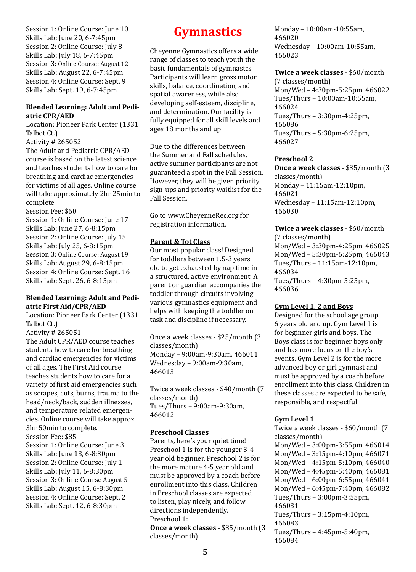Session 1: Online Course: June 10 Skills Lab: June 20, 6-7:45pm Session 2: Online Course: July 8 Skills Lab: July 18, 6-7:45pm Session 3: Online Course: August 12 Skills Lab: August 22, 6-7:45pm Session 4: Online Course: Sept. 9 Skills Lab: Sept. 19, 6-7:45pm

### **Blended Learning: Adult and Pediatric CPR/AED**

Location: Pioneer Park Center (1331 Talbot Ct.)

Activity # 265052

The Adult and Pediatric CPR/AED course is based on the latest science and teaches students how to care for breathing and cardiac emergencies for victims of all ages. Online course will take approximately 2hr 25min to complete.

Session Fee: \$60

Session 1: Online Course: June 17 Skills Lab: June 27, 6-8:15pm Session 2: Online Course: July 15 Skills Lab: July 25, 6-8:15pm Session 3: Online Course: August 19 Skills Lab: August 29, 6-8:15pm Session 4: Online Course: Sept. 16 Skills Lab: Sept. 26, 6-8:15pm

### **Blended Learning: Adult and Pediatric First Aid/CPR/AED**

Location: Pioneer Park Center (1331 Talbot Ct.)

Activity # 265051

The Adult CPR/AED course teaches students how to care for breathing and cardiac emergencies for victims of all ages. The First Aid course teaches students how to care for a variety of first aid emergencies such as scrapes, cuts, burns, trauma to the head/neck/back, sudden illnesses, and temperature related emergencies. Online course will take approx. 3hr 50min to complete. Session Fee: \$85

Session 1: Online Course: June 3 Skills Lab: June 13, 6-8:30pm Session 2: Online Course: July 1 Skills Lab: July 11, 6-8:30pm Session 3: Online Course August 5 Skills Lab: August 15, 6-8:30pm Session 4: Online Course: Sept. 2 Skills Lab: Sept. 12, 6-8:30pm

### **Gymnastics**

Cheyenne Gymnastics offers a wide range of classes to teach youth the basic fundamentals of gymnastcs. Participants will learn gross motor skills, balance, coordination, and spatial awareness, while also developing self-esteem, discipline, and determination. Our facility is fully equipped for all skill levels and ages 18 months and up.

Due to the differences between the Summer and Fall schedules, active summer participants are not guaranteed a spot in the Fall Session. However, they will be given priority sign-ups and priority waitlist for the Fall Session.

Go to www.CheyenneRec.org for registration information.

### **Parent & Tot Class**

Our most popular class! Designed for toddlers between 1.5-3 years old to get exhausted by nap time in a structured, active environment. A parent or guardian accompanies the toddler through circuits involving various gymnastics equipment and helps with keeping the toddler on task and discipline if necessary.

Once a week classes - \$25/month (3 classes/month) Monday – 9:00am-9:30am, 466011 Wednesday – 9:00am-9:30am, 466013

Twice a week classes - \$40/month (7 classes/month) Tues/Thurs – 9:00am-9:30am, 466012

### **Preschool Classes**

Parents, here's your quiet time! Preschool 1 is for the younger 3-4 year old beginner. Preschool 2 is for the more mature 4-5 year old and must be approved by a coach before enrollment into this class. Children in Preschool classes are expected to listen, play nicely, and follow directions independently. Preschool 1:

**Once a week classes** - \$35/month (3 classes/month)

Monday – 10:00am-10:55am, 466020 Wednesday – 10:00am-10:55am, 466023

**Twice a week classes** - \$60/month (7 classes/month) Mon/Wed – 4:30pm-5:25pm, 466022 Tues/Thurs – 10:00am-10:55am, 466024 Tues/Thurs – 3:30pm-4:25pm, 466086 Tues/Thurs – 5:30pm-6:25pm, 466027

### **Preschool 2**

**Once a week classes** - \$35/month (3 classes/month) Monday – 11:15am-12:10pm, 466021 Wednesday – 11:15am-12:10pm, 466030

### **Twice a week classes** - \$60/month

(7 classes/month) Mon/Wed – 3:30pm-4:25pm, 466025 Mon/Wed – 5:30pm-6:25pm, 466043 Tues/Thurs – 11:15am-12:10pm, 466034 Tues/Thurs – 4:30pm-5:25pm, 466036

### **Gym Level 1, 2 and Boys**

Designed for the school age group, 6 years old and up. Gym Level 1 is for beginner girls and boys. The Boys class is for beginner boys only and has more focus on the boy's events. Gym Level 2 is for the more advanced boy or girl gymnast and must be approved by a coach before enrollment into this class. Children in these classes are expected to be safe, responsible, and respectful.

### **Gym Level 1**

Twice a week classes - \$60/month (7 classes/month) Mon/Wed – 3:00pm-3:55pm, 466014 Mon/Wed – 3:15pm-4:10pm, 466071 Mon/Wed – 4:15pm-5:10pm, 466040 Mon/Wed – 4:45pm-5:40pm, 466081 Mon/Wed – 6:00pm-6:55pm, 466041 Mon/Wed – 6:45pm-7:40pm, 466082 Tues/Thurs – 3:00pm-3:55pm, 466031 Tues/Thurs – 3:15pm-4:10pm, 466083 Tues/Thurs – 4:45pm-5:40pm, 466084